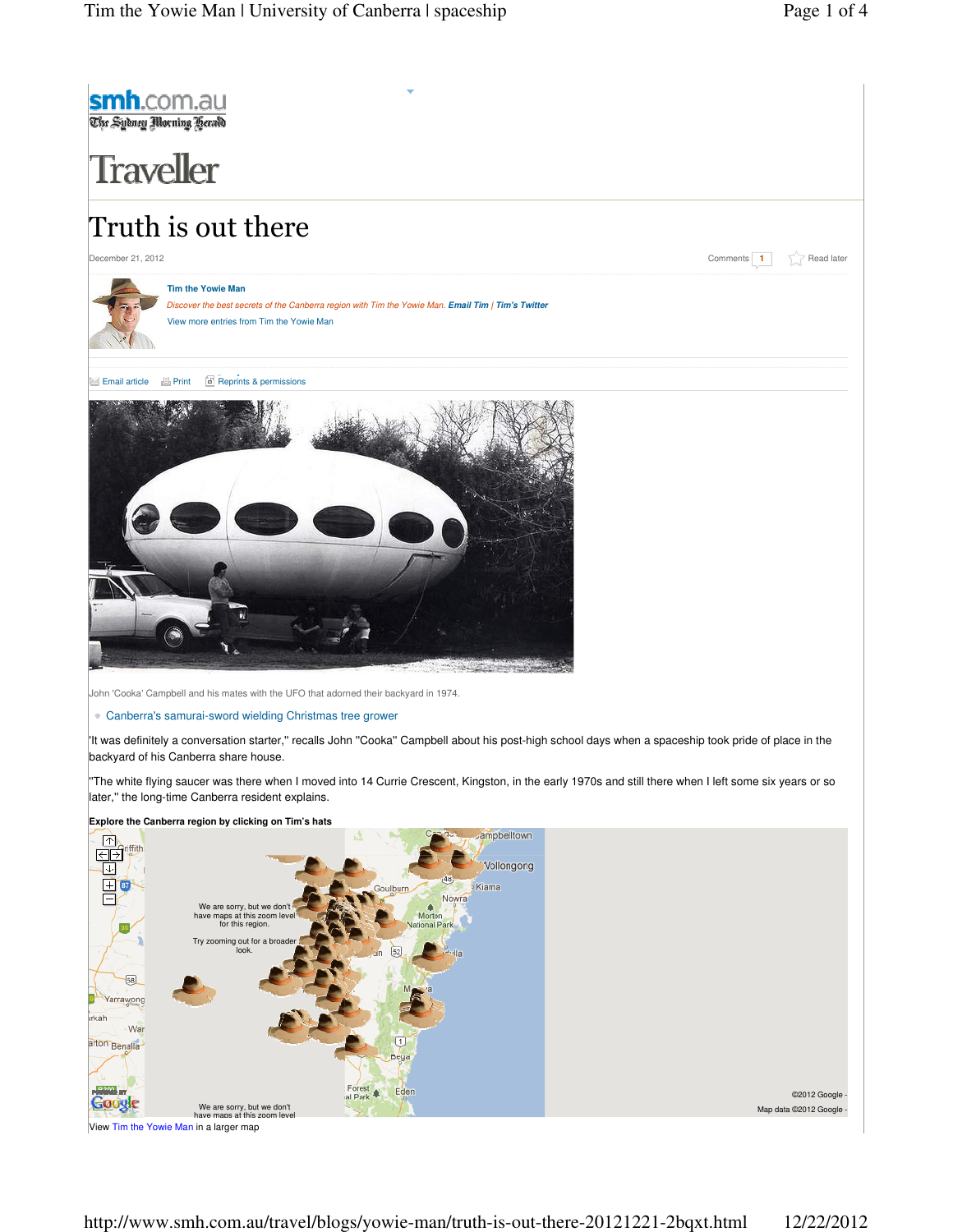

View Tim the Yowie Man in a larger map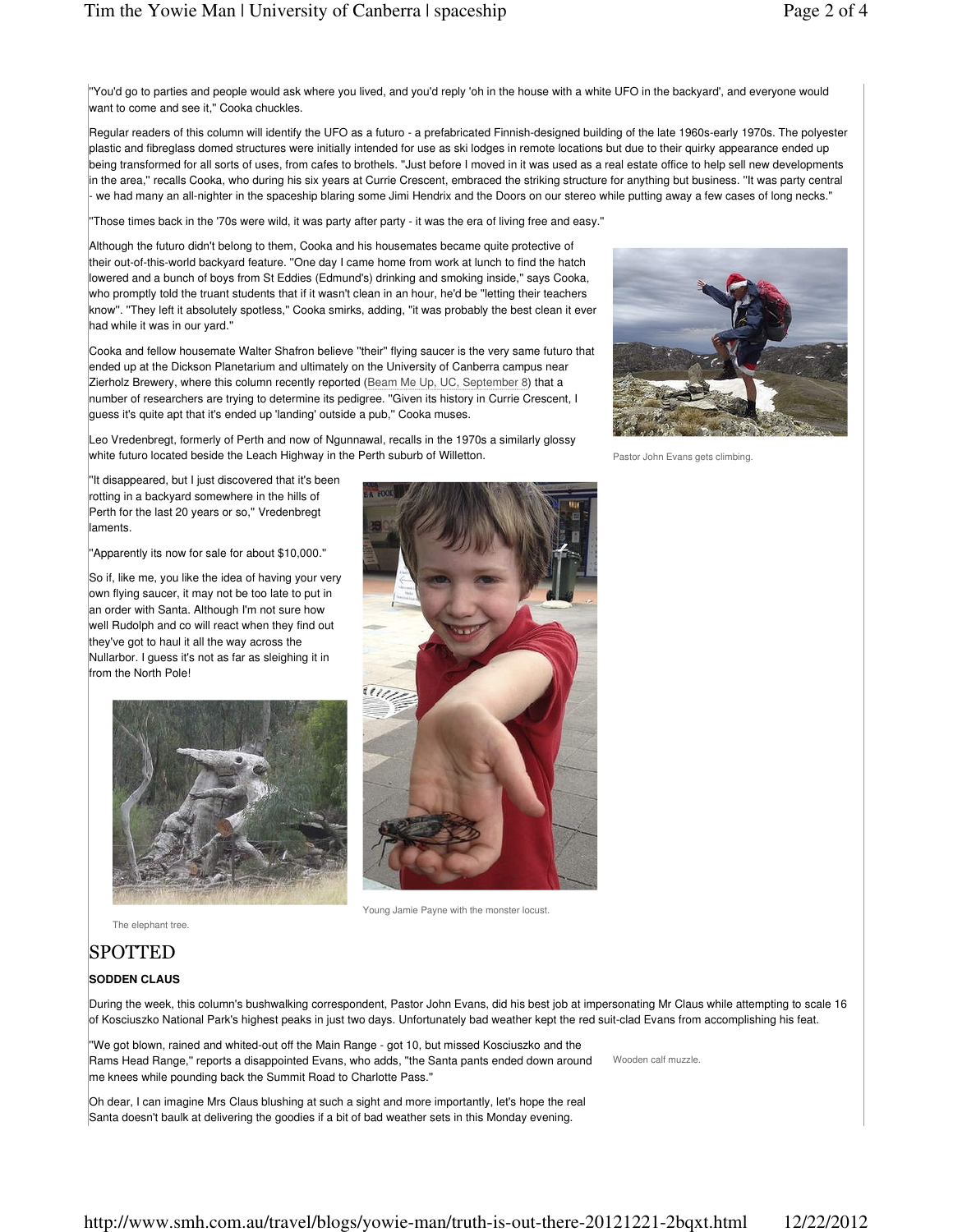''You'd go to parties and people would ask where you lived, and you'd reply 'oh in the house with a white UFO in the backyard', and everyone would want to come and see it," Cooka chuckles.

Regular readers of this column will identify the UFO as a futuro - a prefabricated Finnish-designed building of the late 1960s-early 1970s. The polyester plastic and fibreglass domed structures were initially intended for use as ski lodges in remote locations but due to their quirky appearance ended up being transformed for all sorts of uses, from cafes to brothels. ''Just before I moved in it was used as a real estate office to help sell new developments in the area,'' recalls Cooka, who during his six years at Currie Crescent, embraced the striking structure for anything but business. ''It was party central we had many an all-nighter in the spaceship blaring some Jimi Hendrix and the Doors on our stereo while putting away a few cases of long necks."

''Those times back in the '70s were wild, it was party after party - it was the era of living free and easy.''

Although the futuro didn't belong to them, Cooka and his housemates became quite protective of their out-of-this-world backyard feature. ''One day I came home from work at lunch to find the hatch lowered and a bunch of boys from St Eddies (Edmund's) drinking and smoking inside,'' says Cooka, who promptly told the truant students that if it wasn't clean in an hour, he'd be ''letting their teachers know''. ''They left it absolutely spotless,'' Cooka smirks, adding, ''it was probably the best clean it ever had while it was in our yard.''

Cooka and fellow housemate Walter Shafron believe ''their'' flying saucer is the very same futuro that ended up at the Dickson Planetarium and ultimately on the University of Canberra campus near Zierholz Brewery, where this column recently reported (Beam Me Up, UC, September 8) that a number of researchers are trying to determine its pedigree. ''Given its history in Currie Crescent, I guess it's quite apt that it's ended up 'landing' outside a pub,'' Cooka muses.

Leo Vredenbregt, formerly of Perth and now of Ngunnawal, recalls in the 1970s a similarly glossy white futuro located beside the Leach Highway in the Perth suburb of Willetton.



Pastor John Evans gets climbing.

''It disappeared, but I just discovered that it's been rotting in a backyard somewhere in the hills of Perth for the last 20 years or so," Vredenbregt laments.

''Apparently its now for sale for about \$10,000.''

So if, like me, you like the idea of having your very own flying saucer, it may not be too late to put in an order with Santa. Although I'm not sure how well Rudolph and co will react when they find out they've got to haul it all the way across the Nullarbor. I guess it's not as far as sleighing it in from the North Pole!





Young Jamie Payne with the monster locust.

The elephant tree.

## **SPOTTED**

#### **SODDEN CLAUS**

During the week, this column's bushwalking correspondent, Pastor John Evans, did his best job at impersonating Mr Claus while attempting to scale 16 of Kosciuszko National Park's highest peaks in just two days. Unfortunately bad weather kept the red suit-clad Evans from accomplishing his feat.

''We got blown, rained and whited-out off the Main Range - got 10, but missed Kosciuszko and the Rams Head Range,'' reports a disappointed Evans, who adds, ''the Santa pants ended down around me knees while pounding back the Summit Road to Charlotte Pass.''

Oh dear, I can imagine Mrs Claus blushing at such a sight and more importantly, let's hope the real Santa doesn't baulk at delivering the goodies if a bit of bad weather sets in this Monday evening.

Wooden calf muzzle.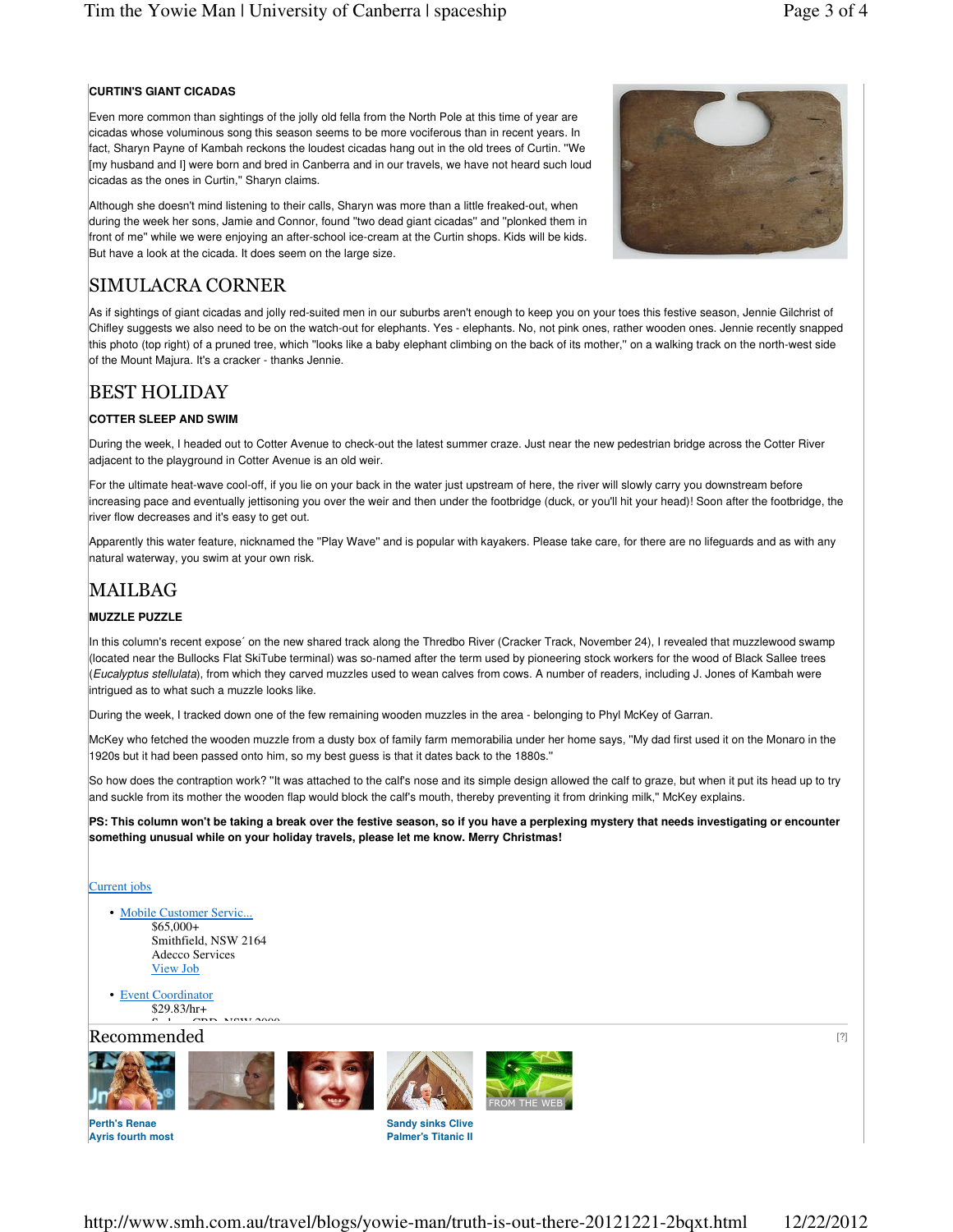## **CURTIN'S GIANT CICADAS**

Even more common than sightings of the jolly old fella from the North Pole at this time of year are cicadas whose voluminous song this season seems to be more vociferous than in recent years. In fact, Sharyn Payne of Kambah reckons the loudest cicadas hang out in the old trees of Curtin. ''We [my husband and I] were born and bred in Canberra and in our travels, we have not heard such loud cicadas as the ones in Curtin,'' Sharyn claims.

Although she doesn't mind listening to their calls, Sharyn was more than a little freaked-out, when during the week her sons, Jamie and Connor, found ''two dead giant cicadas'' and ''plonked them in front of me'' while we were enjoying an after-school ice-cream at the Curtin shops. Kids will be kids. But have a look at the cicada. It does seem on the large size.



# SIMULACRA CORNER

As if sightings of giant cicadas and jolly red-suited men in our suburbs aren't enough to keep you on your toes this festive season, Jennie Gilchrist of Chifley suggests we also need to be on the watch-out for elephants. Yes - elephants. No, not pink ones, rather wooden ones. Jennie recently snapped this photo (top right) of a pruned tree, which ''looks like a baby elephant climbing on the back of its mother,'' on a walking track on the north-west side of the Mount Majura. It's a cracker - thanks Jennie.

## BEST HOLIDAY

#### **COTTER SLEEP AND SWIM**

During the week, I headed out to Cotter Avenue to check-out the latest summer craze. Just near the new pedestrian bridge across the Cotter River adjacent to the playground in Cotter Avenue is an old weir.

For the ultimate heat-wave cool-off, if you lie on your back in the water just upstream of here, the river will slowly carry you downstream before increasing pace and eventually jettisoning you over the weir and then under the footbridge (duck, or you'll hit your head)! Soon after the footbridge, the river flow decreases and it's easy to get out.

Apparently this water feature, nicknamed the ''Play Wave'' and is popular with kayakers. Please take care, for there are no lifeguards and as with any natural waterway, you swim at your own risk.

# MAILBAG

#### **MUZZLE PUZZLE**

In this column's recent expose´ on the new shared track along the Thredbo River (Cracker Track, November 24), I revealed that muzzlewood swamp (located near the Bullocks Flat SkiTube terminal) was so-named after the term used by pioneering stock workers for the wood of Black Sallee trees (Eucalyptus stellulata), from which they carved muzzles used to wean calves from cows. A number of readers, including J. Jones of Kambah were intrigued as to what such a muzzle looks like.

During the week, I tracked down one of the few remaining wooden muzzles in the area - belonging to Phyl McKey of Garran.

McKey who fetched the wooden muzzle from a dusty box of family farm memorabilia under her home says, ''My dad first used it on the Monaro in the 1920s but it had been passed onto him, so my best guess is that it dates back to the 1880s.''

So how does the contraption work? ''It was attached to the calf's nose and its simple design allowed the calf to graze, but when it put its head up to try and suckle from its mother the wooden flap would block the calf's mouth, thereby preventing it from drinking milk,'' McKey explains.

**PS: This column won't be taking a break over the festive season, so if you have a perplexing mystery that needs investigating or encounter something unusual while on your holiday travels, please let me know. Merry Christmas!**

#### Current jobs

- Mobile Customer Servic... \$65,000+ Smithfield, NSW 2164 Adecco Services View Job
- Event Coordinator \$29.83/hr+  $S_{\text{S}}$  i  $\sigma$  and  $\sigma$   $\sigma$   $\sigma$

### $\rm\,Recommended$  . The commended contract the contract of  $^{[2]}$









**Perth's Renae Ayris fourth most** 

**Sandy sinks Clive Palmer's Titanic II**